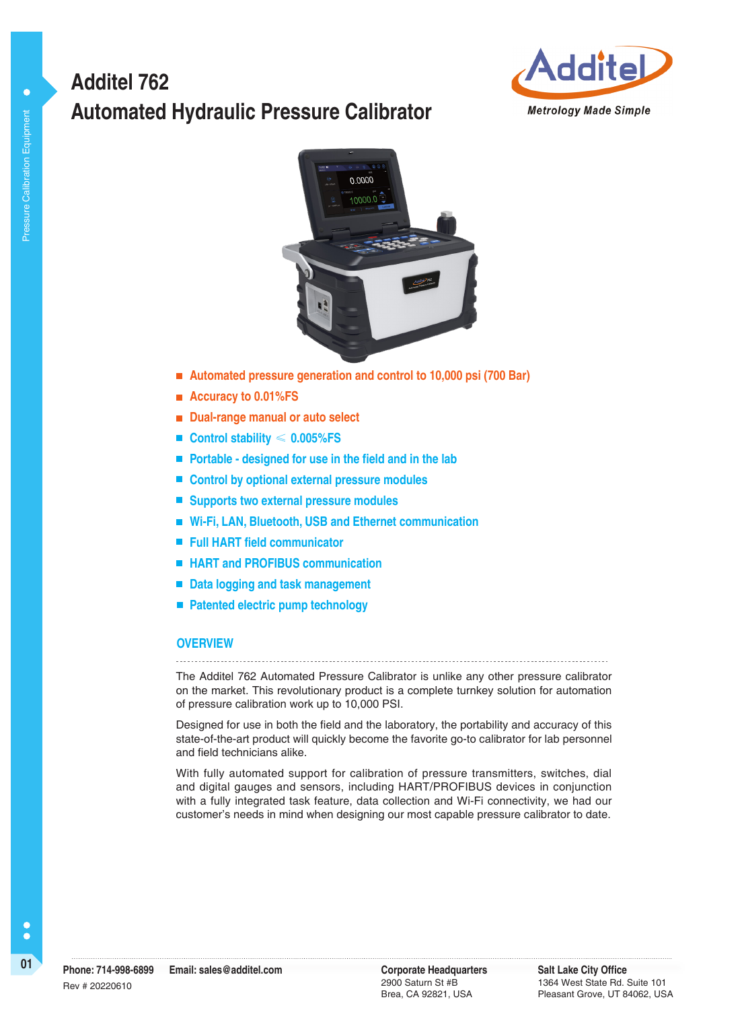# **Automated Hydraulic Pressure Calibrator Additel 762**





- **Automated pressure generation and control to 10,000 psi (700 Bar)**
- **Accuracy to 0.01%FS**
- **Dual-range manual or auto select**
- **Control stability** ≤ **0.005%FS**
- **Portable designed for use in the field and in the lab**
- Control by optional external pressure modules
- Supports two external pressure modules
- **Wi-Fi, LAN, Bluetooth, USB and Ethernet communication**
- **Full HART field communicator**
- HART and PROFIBUS communication
- Data logging and task management
- **Patented electric pump technology**

#### **OVERVIEW**

The Additel 762 Automated Pressure Calibrator is unlike any other pressure calibrator on the market. This revolutionary product is a complete turnkey solution for automation of pressure calibration work up to 10,000 PSI.

Designed for use in both the field and the laboratory, the portability and accuracy of this state-of-the-art product will quickly become the favorite go-to calibrator for lab personnel and field technicians alike.

With fully automated support for calibration of pressure transmitters, switches, dial and digital gauges and sensors, including HART/PROFIBUS devices in conjunction with a fully integrated task feature, data collection and Wi-Fi connectivity, we had our customer's needs in mind when designing our most capable pressure calibrator to date.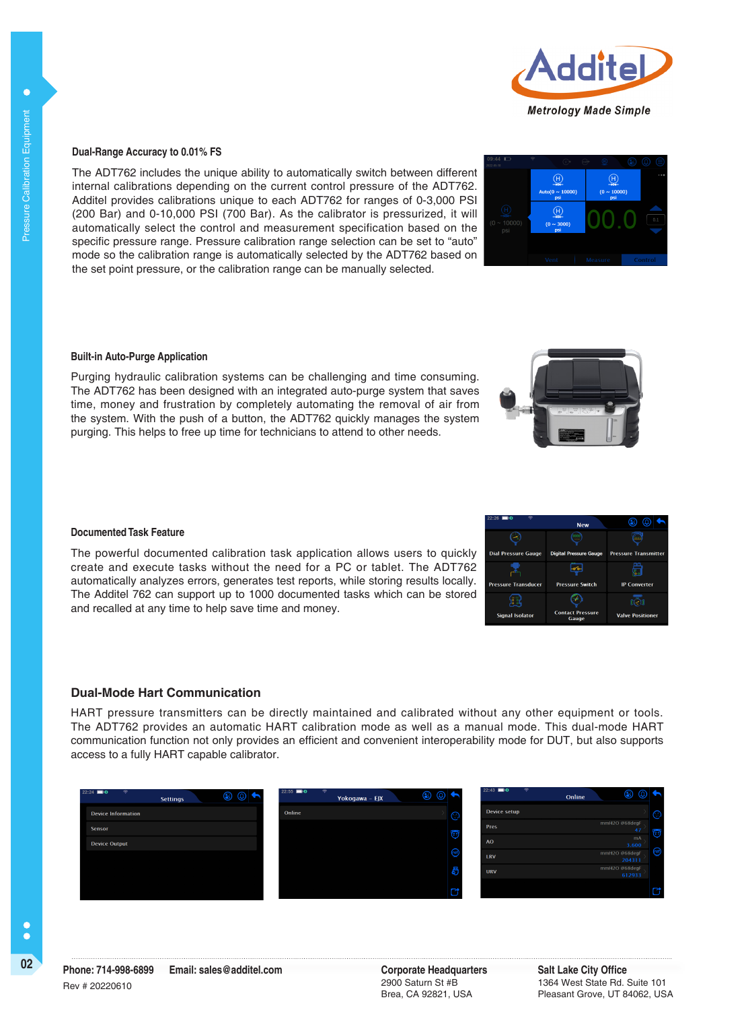

 $\overline{H}$ 

 $\overline{\Theta}$ 

#### **Dual-Range Accuracy to 0.01% FS**

The ADT762 includes the unique ability to automatically switch between different internal calibrations depending on the current control pressure of the ADT762. Additel provides calibrations unique to each ADT762 for ranges of 0-3,000 PSI (200 Bar) and 0-10,000 PSI (700 Bar). As the calibrator is pressurized, it will automatically select the control and measurement specification based on the specific pressure range. Pressure calibration range selection can be set to "auto" mode so the calibration range is automatically selected by the ADT762 based on the set point pressure, or the calibration range can be manually selected.

#### **Built-in Auto-Purge Application**

Purging hydraulic calibration systems can be challenging and time consuming. The ADT762 has been designed with an integrated auto-purge system that saves time, money and frustration by completely automating the removal of air from the system. With the push of a button, the ADT762 quickly manages the system purging. This helps to free up time for technicians to attend to other needs.

#### **Documented Task Feature**

The powerful documented calibration task application allows users to quickly create and execute tasks without the need for a PC or tablet. The ADT762 automatically analyzes errors, generates test reports, while storing results locally. The Additel 762 can support up to 1000 documented tasks which can be stored and recalled at any time to help save time and money.

#### **Dual-Mode Hart Communication**

HART pressure transmitters can be directly maintained and calibrated without any other equipment or tools. The ADT762 provides an automatic HART calibration mode as well as a manual mode. This dual-mode HART communication function not only provides an efficient and convenient interoperability mode for DUT, but also supports access to a fully HART capable calibrator.



**C** 

|   | 22:26                      | <b>New</b>                       |                             |
|---|----------------------------|----------------------------------|-----------------------------|
|   |                            |                                  |                             |
| ı | <b>Dial Pressure Gauge</b> | <b>Digital Pressure Gauge</b>    | <b>Pressure Transmitter</b> |
| ŗ |                            |                                  |                             |
|   | <b>Pressure Transducer</b> | <b>Pressure Switch</b>           | <b>IP Converter</b>         |
|   |                            |                                  |                             |
|   | <b>Signal Isolator</b>     | <b>Contact Pressure</b><br>Gauge | <b>Valve Positioner</b>     |

2900 Saturn St #B Brea, CA 92821, USA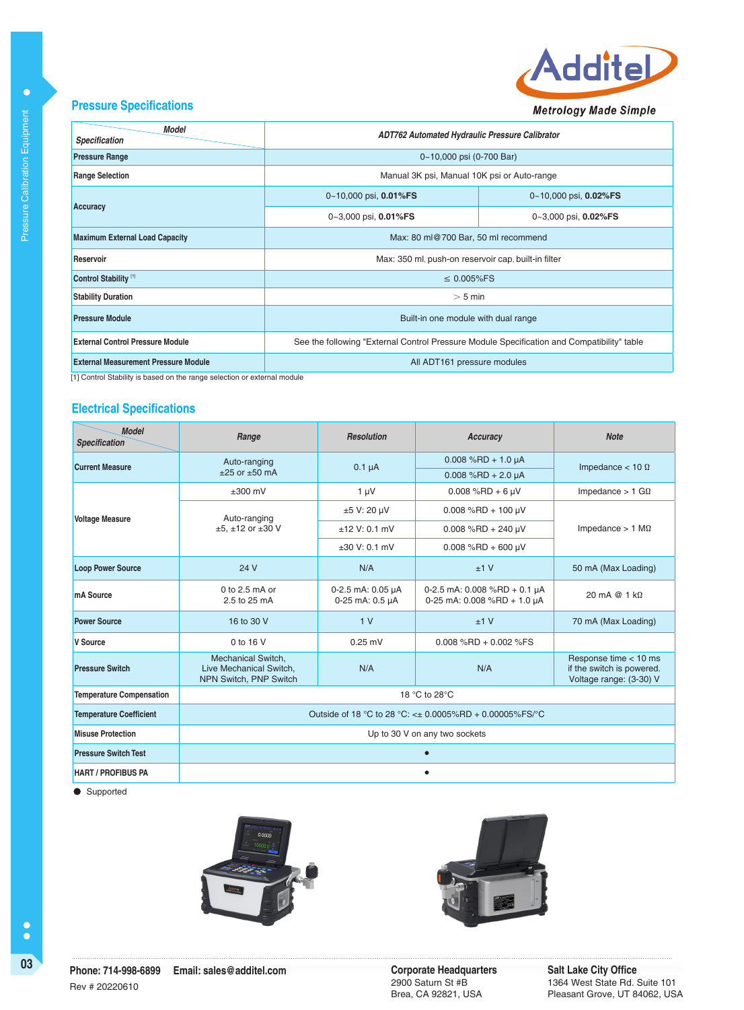

## **Pressure Specifications**

Pressure Calibration Equipment

Pressure Calibration Equipment

 $\bullet$ 

| <b>Model</b><br><b>Specification</b>        | ADT762 Automated Hydraulic Pressure Calibrator                                             |                       |  |  |
|---------------------------------------------|--------------------------------------------------------------------------------------------|-----------------------|--|--|
| <b>Pressure Range</b>                       | 0~10,000 psi (0-700 Bar)                                                                   |                       |  |  |
| <b>Range Selection</b>                      | Manual 3K psi, Manual 10K psi or Auto-range                                                |                       |  |  |
|                                             | $0-10,000$ psi, $0.01\%$ FS                                                                | 0~10,000 psi, 0.02%FS |  |  |
| Accuracy                                    | 0~3,000 psi, 0.01%FS                                                                       | 0~3,000 psi, 0.02%FS  |  |  |
| <b>Maximum External Load Capacity</b>       | Max: 80 ml@700 Bar, 50 ml recommend                                                        |                       |  |  |
| Reservoir                                   | Max: 350 ml, push-on reservoir cap, built-in filter                                        |                       |  |  |
| Control Stability <sup>[1]</sup>            | $\leq 0.005\%$ FS                                                                          |                       |  |  |
| <b>Stability Duration</b>                   | $>$ 5 min                                                                                  |                       |  |  |
| <b>Pressure Module</b>                      | Built-in one module with dual range                                                        |                       |  |  |
| <b>External Control Pressure Module</b>     | See the following "External Control Pressure Module Specification and Compatibility" table |                       |  |  |
| <b>External Measurement Pressure Module</b> | All ADT161 pressure modules                                                                |                       |  |  |

[1] Control Stability is based on the range selection or external module

## **Electrical Specifications**

| <b>Model</b><br><b>Specification</b> | Range                                                                          | <b>Resolution</b>                    | Accuracy                                                        | <b>Note</b>                                                                   |  |
|--------------------------------------|--------------------------------------------------------------------------------|--------------------------------------|-----------------------------------------------------------------|-------------------------------------------------------------------------------|--|
| <b>Current Measure</b>               | Auto-ranging                                                                   | $0.1 \mu A$                          | $0.008$ %RD + 1.0 µA                                            | Impedance $<$ 10 $\Omega$                                                     |  |
|                                      | $+25$ or $+50$ mA                                                              |                                      | $0.008$ %RD + 2.0 µA                                            |                                                                               |  |
|                                      | $±300$ mV                                                                      | $1 \mu V$                            | $0.008$ %RD + 6 µV                                              | Impedance $> 1$ G $\Omega$                                                    |  |
| <b>Voltage Measure</b>               | Auto-ranging<br>$±5. ±12$ or $±30$ V                                           | ±5 V: 20 µV                          | $0.008$ %RD + 100 µV                                            | Impedance $> 1$ M $\Omega$                                                    |  |
|                                      |                                                                                | $±12$ V: 0.1 mV                      | $0.008$ %RD + 240 µV                                            |                                                                               |  |
|                                      |                                                                                | $+30$ V: 0.1 mV                      | $0.008$ %RD + 600 µV                                            |                                                                               |  |
| <b>Loop Power Source</b>             | 24 V                                                                           | N/A                                  | $+1V$                                                           | 50 mA (Max Loading)                                                           |  |
| mA Source                            | 0 to $2.5$ mA or<br>2.5 to 25 mA                                               | 0-2.5 mA: 0.05 µA<br>0-25 mA: 0.5 µA | 0-2.5 mA: $0.008$ %RD + 0.1 µA<br>0-25 mA: $0.008$ %RD + 1.0 µA | 20 mA $@1k\Omega$                                                             |  |
| <b>Power Source</b>                  | 16 to 30 V                                                                     | 1 <sub>V</sub>                       | $+1V$                                                           | 70 mA (Max Loading)                                                           |  |
| V Source                             | 0 to 16 V                                                                      | $0.25$ mV                            | $0.008$ %RD + 0.002 %FS                                         |                                                                               |  |
| <b>Pressure Switch</b>               | <b>Mechanical Switch.</b><br>Live Mechanical Switch,<br>NPN Switch, PNP Switch | N/A                                  | N/A                                                             | Response time < 10 ms<br>if the switch is powered.<br>Voltage range: (3-30) V |  |
| <b>Temperature Compensation</b>      | 18 °C to 28°C                                                                  |                                      |                                                                 |                                                                               |  |
| <b>Temperature Coefficient</b>       | Outside of 18 °C to 28 °C: < $\pm$ 0.0005%RD + 0.00005%FS/°C                   |                                      |                                                                 |                                                                               |  |
| <b>Misuse Protection</b>             |                                                                                | Up to 30 V on any two sockets        |                                                                 |                                                                               |  |
| <b>Pressure Switch Test</b>          |                                                                                |                                      |                                                                 |                                                                               |  |
| <b>HART / PROFIBUS PA</b>            |                                                                                |                                      |                                                                 |                                                                               |  |

**Supported** 





2900 Saturn St #B Brea, CA 92821, USA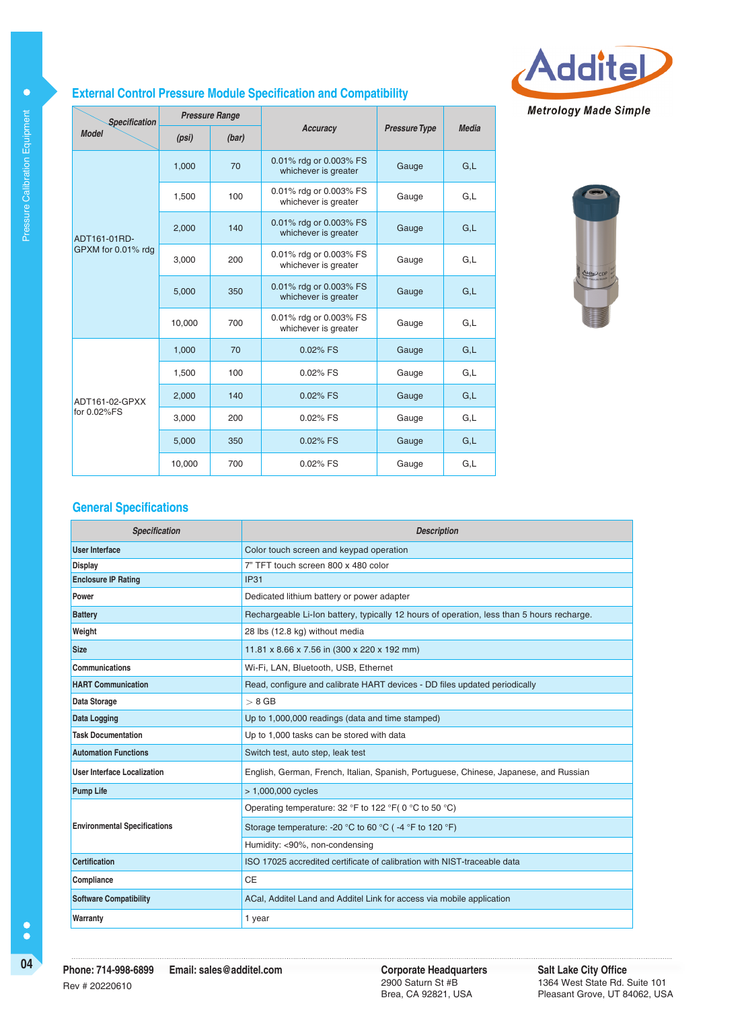

## **External Control Pressure Module Specification and Compatibility**

| <b>Specification</b> | <b>Pressure Range</b> |       |                                                |                      |       |
|----------------------|-----------------------|-------|------------------------------------------------|----------------------|-------|
| <b>Model</b>         | (psi)                 | (bar) | Accuracy                                       | <b>Pressure Type</b> | Media |
|                      | 1,000                 | 70    | 0.01% rdg or 0.003% FS<br>whichever is greater | Gauge                | G.L   |
|                      | 1,500                 | 100   | 0.01% rdg or 0.003% FS<br>whichever is greater | Gauge                | G,L   |
| ADT161-01RD-         | 2,000                 | 140   | 0.01% rdg or 0.003% FS<br>whichever is greater | Gauge                | G.L   |
| GPXM for 0.01% rdg   | 3,000                 | 200   | 0.01% rdg or 0.003% FS<br>whichever is greater | Gauge                | G.L   |
|                      | 5,000                 | 350   | 0.01% rdg or 0.003% FS<br>whichever is greater | Gauge                | G.L   |
|                      | 10,000                | 700   | 0.01% rdg or 0.003% FS<br>whichever is greater | Gauge                | G.L   |
|                      | 1,000                 | 70    | 0.02% FS                                       | Gauge                | G.L   |
|                      | 1,500                 | 100   | 0.02% FS                                       | Gauge                | G.L   |
| ADT161-02-GPXX       | 2,000                 | 140   | 0.02% FS                                       | Gauge                | G.L   |
| for 0.02%FS          | 3,000                 | 200   | 0.02% FS                                       | Gauge                | G,L   |
|                      | 5,000                 | 350   | 0.02% FS                                       | Gauge                | G,L   |
|                      | 10,000                | 700   | $0.02\%$ FS                                    | Gauge                | G.L   |



## **General Specifications**

| <b>Specification</b>                                                    | <b>Description</b>                                                                        |  |  |
|-------------------------------------------------------------------------|-------------------------------------------------------------------------------------------|--|--|
| <b>User Interface</b>                                                   | Color touch screen and keypad operation                                                   |  |  |
| <b>Display</b>                                                          | 7" TFT touch screen 800 x 480 color                                                       |  |  |
| <b>Enclosure IP Rating</b>                                              | <b>IP31</b>                                                                               |  |  |
| Power                                                                   | Dedicated lithium battery or power adapter                                                |  |  |
| <b>Battery</b>                                                          | Rechargeable Li-Ion battery, typically 12 hours of operation, less than 5 hours recharge. |  |  |
| Weight                                                                  | 28 lbs (12.8 kg) without media                                                            |  |  |
| <b>Size</b>                                                             | 11.81 x 8.66 x 7.56 in (300 x 220 x 192 mm)                                               |  |  |
| Communications                                                          | Wi-Fi, LAN, Bluetooth, USB, Ethernet                                                      |  |  |
| <b>HART Communication</b>                                               | Read, configure and calibrate HART devices - DD files updated periodically                |  |  |
| Data Storage                                                            | $> 8$ GB                                                                                  |  |  |
| <b>Data Logging</b><br>Up to 1,000,000 readings (data and time stamped) |                                                                                           |  |  |
| <b>Task Documentation</b><br>Up to 1,000 tasks can be stored with data  |                                                                                           |  |  |
| <b>Automation Functions</b>                                             | Switch test, auto step, leak test                                                         |  |  |
| <b>User Interface Localization</b>                                      | English, German, French, Italian, Spanish, Portuguese, Chinese, Japanese, and Russian     |  |  |
| <b>Pump Life</b>                                                        | > 1,000,000 cycles                                                                        |  |  |
|                                                                         | Operating temperature: 32 °F to 122 °F( 0 °C to 50 °C)                                    |  |  |
| <b>Environmental Specifications</b>                                     | Storage temperature: -20 °C to 60 °C (-4 °F to 120 °F)                                    |  |  |
|                                                                         | Humidity: <90%, non-condensing                                                            |  |  |
| <b>Certification</b>                                                    | ISO 17025 accredited certificate of calibration with NIST-traceable data                  |  |  |
| Compliance                                                              | <b>CE</b>                                                                                 |  |  |
| <b>Software Compatibility</b>                                           | ACal, Additel Land and Additel Link for access via mobile application                     |  |  |
| Warranty                                                                | 1 year                                                                                    |  |  |

 $\bullet$